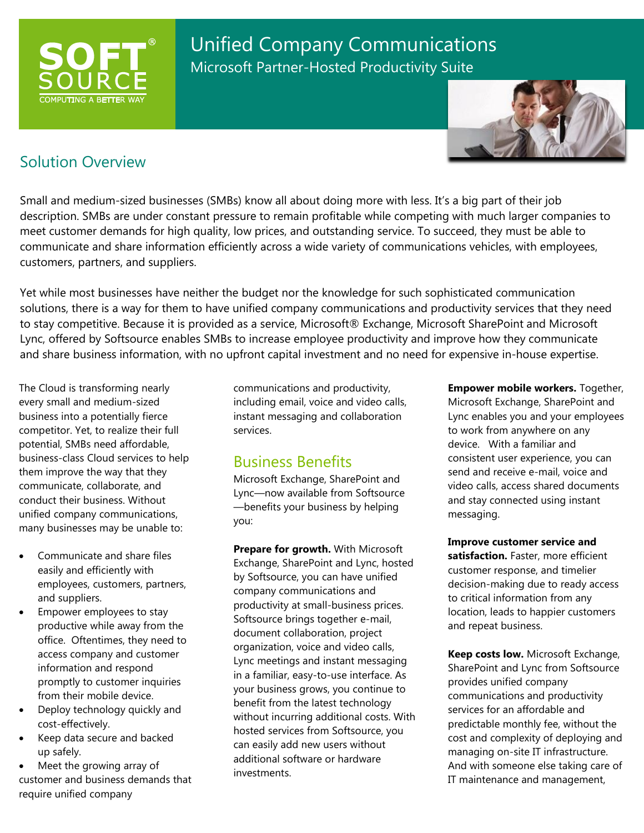

# Unified Company Communications Microsoft Partner-Hosted Productivity Suite



### Solution Overview

Small and medium-sized businesses (SMBs) know all about doing more with less. It's a big part of their job description. SMBs are under constant pressure to remain profitable while competing with much larger companies to meet customer demands for high quality, low prices, and outstanding service. To succeed, they must be able to communicate and share information efficiently across a wide variety of communications vehicles, with employees, customers, partners, and suppliers.

Yet while most businesses have neither the budget nor the knowledge for such sophisticated communication solutions, there is a way for them to have unified company communications and productivity services that they need to stay competitive. Because it is provided as a service, Microsoft® Exchange, Microsoft SharePoint and Microsoft Lync, offered by Softsource enables SMBs to increase employee productivity and improve how they communicate and share business information, with no upfront capital investment and no need for expensive in-house expertise.

The Cloud is transforming nearly every small and medium-sized business into a potentially fierce competitor. Yet, to realize their full potential, SMBs need affordable, business-class Cloud services to help them improve the way that they communicate, collaborate, and conduct their business. Without unified company communications, many businesses may be unable to:

- Communicate and share files easily and efficiently with employees, customers, partners, and suppliers.
- Empower employees to stay productive while away from the office. Oftentimes, they need to access company and customer information and respond promptly to customer inquiries from their mobile device.
- Deploy technology quickly and cost-effectively.
- Keep data secure and backed up safely.
- Meet the growing array of customer and business demands that require unified company

communications and productivity, including email, voice and video calls, instant messaging and collaboration services.

### Business Benefits

Microsoft Exchange, SharePoint and Lync—now available from Softsource —benefits your business by helping you:

**Prepare for growth.** With Microsoft Exchange, SharePoint and Lync, hosted by Softsource, you can have unified company communications and productivity at small-business prices. Softsource brings together e-mail, document collaboration, project organization, voice and video calls, Lync meetings and instant messaging in a familiar, easy-to-use interface. As your business grows, you continue to benefit from the latest technology without incurring additional costs. With hosted services from Softsource, you can easily add new users without additional software or hardware investments.

**Empower mobile workers.** Together, Microsoft Exchange, SharePoint and Lync enables you and your employees to work from anywhere on any device. With a familiar and consistent user experience, you can send and receive e-mail, voice and video calls, access shared documents and stay connected using instant messaging.

**Improve customer service and satisfaction.** Faster, more efficient customer response, and timelier decision-making due to ready access to critical information from any location, leads to happier customers and repeat business.

**Keep costs low.** Microsoft Exchange, SharePoint and Lync from Softsource provides unified company communications and productivity services for an affordable and predictable monthly fee, without the cost and complexity of deploying and managing on-site IT infrastructure. And with someone else taking care of IT maintenance and management,